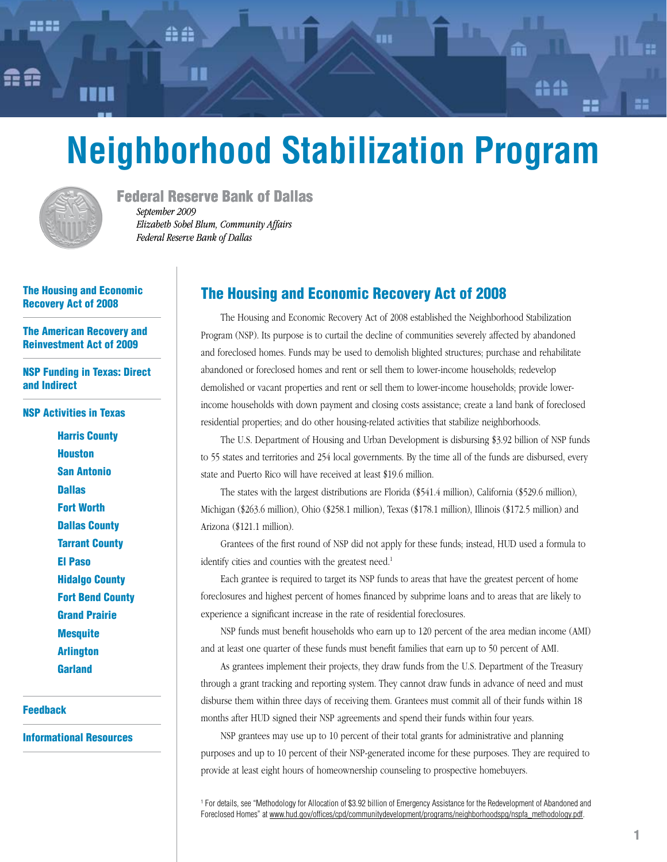# **Neighborhood Stabilization Program**

m

A

종종



Federal Reserve Bank of Dallas *September 2009 Elizabeth Sobel Blum, Community Affairs Federal Reserve Bank of Dallas*

#### The Housing and Economic Recovery Act of 2008

[The American Recovery and](#page-1-0)  [Reinvestment Act of 2009](#page-1-0)

[NSP Funding in Texas: Direct](#page-2-0)  [and Indirect](#page-2-0)

[NSP Activities in Texas](#page-4-0)

[Harris County](#page-4-0) **[Houston](#page-4-0)** [San Antonio](#page-5-0) **[Dallas](#page-5-0)** [Fort Worth](#page-6-0) [Dallas County](#page-6-0) [Tarrant County](#page-7-0) [El Paso](#page-7-0) [Hidalgo County](#page-8-0) [Fort Bend County](#page-8-0) [Grand Prairie](#page-9-0) **[Mesquite](#page-9-0)** [Arlington](#page-10-0) **[Garland](#page-10-0)** 

[Feedback](#page-11-0)

[Informational Resources](#page-11-0)

# The Housing and Economic Recovery Act of 2008

The Housing and Economic Recovery Act of 2008 established the Neighborhood Stabilization Program (NSP). Its purpose is to curtail the decline of communities severely affected by abandoned and foreclosed homes. Funds may be used to demolish blighted structures; purchase and rehabilitate abandoned or foreclosed homes and rent or sell them to lower-income households; redevelop demolished or vacant properties and rent or sell them to lower-income households; provide lowerincome households with down payment and closing costs assistance; create a land bank of foreclosed residential properties; and do other housing-related activities that stabilize neighborhoods.

The U.S. Department of Housing and Urban Development is disbursing \$3.92 billion of NSP funds to 55 states and territories and 254 local governments. By the time all of the funds are disbursed, every state and Puerto Rico will have received at least \$19.6 million.

The states with the largest distributions are Florida (\$541.4 million), California (\$529.6 million), Michigan (\$263.6 million), Ohio (\$258.1 million), Texas (\$178.1 million), Illinois (\$172.5 million) and Arizona (\$121.1 million).

Grantees of the first round of NSP did not apply for these funds; instead, HUD used a formula to identify cities and counties with the greatest need.<sup>1</sup>

Each grantee is required to target its NSP funds to areas that have the greatest percent of home foreclosures and highest percent of homes financed by subprime loans and to areas that are likely to experience a significant increase in the rate of residential foreclosures.

NSP funds must benefit households who earn up to 120 percent of the area median income (AMI) and at least one quarter of these funds must benefit families that earn up to 50 percent of AMI.

As grantees implement their projects, they draw funds from the U.S. Department of the Treasury through a grant tracking and reporting system. They cannot draw funds in advance of need and must disburse them within three days of receiving them. Grantees must commit all of their funds within 18 months after HUD signed their NSP agreements and spend their funds within four years.

NSP grantees may use up to 10 percent of their total grants for administrative and planning purposes and up to 10 percent of their NSP-generated income for these purposes. They are required to provide at least eight hours of homeownership counseling to prospective homebuyers.

1 For details, see "Methodology for Allocation of \$3.92 billion of Emergency Assistance for the Redevelopment of Abandoned and Foreclosed Homes" at [www.hud.gov/offices/cpd/communitydevelopment/programs/neighborhoodspg/nspfa\\_methodology.pdf](www.hud.gov/offices/cpd/communitydevelopment/programs/neighborhoodspg/nspfa_methodology.pdf).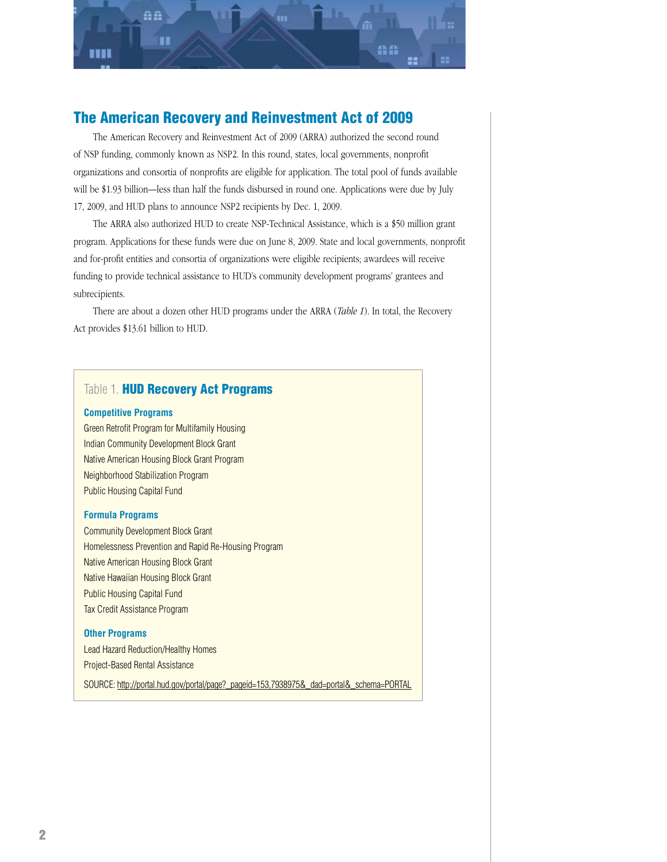<span id="page-1-0"></span>

# The American Recovery and Reinvestment Act of 2009

The American Recovery and Reinvestment Act of 2009 (ARRA) authorized the second round of NSP funding, commonly known as NSP2. In this round, states, local governments, nonprofit organizations and consortia of nonprofits are eligible for application. The total pool of funds available will be \$1.93 billion—less than half the funds disbursed in round one. Applications were due by July 17, 2009, and HUD plans to announce NSP2 recipients by Dec. 1, 2009.

The ARRA also authorized HUD to create NSP-Technical Assistance, which is a \$50 million grant program. Applications for these funds were due on June 8, 2009. State and local governments, nonprofit and for-profit entities and consortia of organizations were eligible recipients; awardees will receive funding to provide technical assistance to HUD's community development programs' grantees and subrecipients.

There are about a dozen other HUD programs under the ARRA (*Table 1*). In total, the Recovery Act provides \$13.61 billion to HUD.

## Table 1. **HUD Recovery Act Programs**

#### **Competitive Programs**

Green Retrofit Program for Multifamily Housing Indian Community Development Block Grant Native American Housing Block Grant Program Neighborhood Stabilization Program Public Housing Capital Fund

#### **Formula Programs**

Community Development Block Grant Homelessness Prevention and Rapid Re-Housing Program Native American Housing Block Grant Native Hawaiian Housing Block Grant Public Housing Capital Fund Tax Credit Assistance Program

#### **Other Programs**

Lead Hazard Reduction/Healthy Homes Project-Based Rental Assistance

SOURCE: [http://portal.hud.gov/portal/page?\\_pageid=153,7938975&\\_dad=portal&\\_schema=PORTAL](http://portal.hud.gov/portal/page?_pageid=153,7938975&_dad=portal&_schema=PORTAL)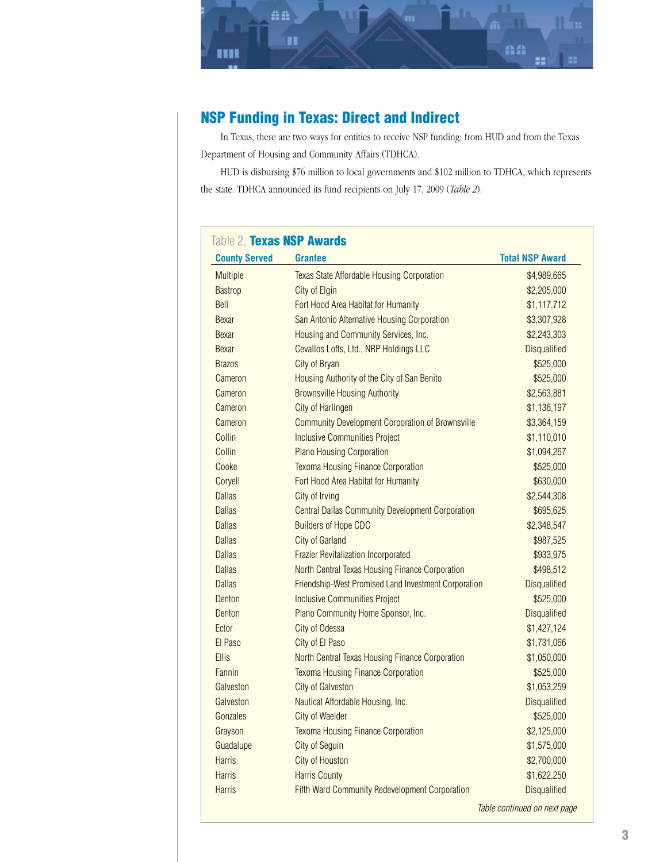<span id="page-2-0"></span>

# NSP Funding in Texas: Direct and Indirect

In Texas, there are two ways for entities to receive NSP funding: from HUD and from the Texas Department of Housing and Community Affairs (TDHCA).

HUD is disbursing \$76 million to local governments and \$102 million to TDHCA, which represents the state. TDHCA announced its fund recipients on July 17, 2009 (*Table 2*).

| <b>County Served</b> | <b>Grantee</b>                                          | <b>Total NSP Award</b> |
|----------------------|---------------------------------------------------------|------------------------|
| <b>Multiple</b>      | <b>Texas State Affordable Housing Corporation</b>       | \$4,989,665            |
| <b>Bastrop</b>       | City of Elgin                                           | \$2,205,000            |
| Bell                 | Fort Hood Area Habitat for Humanity                     | \$1,117,712            |
| <b>Bexar</b>         | San Antonio Alternative Housing Corporation             | \$3,307,928            |
| Bexar                | Housing and Community Services, Inc.                    | \$2,243,303            |
| Bexar                | Cevallos Lofts, Ltd., NRP Holdings LLC                  | <b>Disqualified</b>    |
| <b>Brazos</b>        | City of Bryan                                           | \$525,000              |
| Cameron              | Housing Authority of the City of San Benito             | \$525,000              |
| Cameron              | <b>Brownsville Housing Authority</b>                    | \$2,563,881            |
| Cameron              | City of Harlingen                                       | \$1,136,197            |
| Cameron              | <b>Community Development Corporation of Brownsville</b> | \$3,364,159            |
| Collin               | <b>Inclusive Communities Project</b>                    | \$1,110,010            |
| Collin               | <b>Plano Housing Corporation</b>                        | \$1,094,267            |
| Cooke                | <b>Texoma Housing Finance Corporation</b>               | \$525,000              |
| Coryell              | Fort Hood Area Habitat for Humanity                     | \$630,000              |
| <b>Dallas</b>        | City of Irving                                          | \$2,544,308            |
| <b>Dallas</b>        | <b>Central Dallas Community Development Corporation</b> | \$695,625              |
| <b>Dallas</b>        | <b>Builders of Hope CDC</b>                             | \$2,348,547            |
| <b>Dallas</b>        | <b>City of Garland</b>                                  | \$987,525              |
| <b>Dallas</b>        | <b>Frazier Revitalization Incorporated</b>              | \$933,975              |
| <b>Dallas</b>        | North Central Texas Housing Finance Corporation         | \$498,512              |
| <b>Dallas</b>        | Friendship-West Promised Land Investment Corporation    | <b>Disqualified</b>    |
| Denton               | <b>Inclusive Communities Project</b>                    | \$525,000              |
| Denton               | Plano Community Home Sponsor, Inc.                      | <b>Disqualified</b>    |
| Ector                | City of Odessa                                          | \$1,427,124            |
| El Paso              | City of El Paso                                         | \$1,731,066            |
| <b>Ellis</b>         | North Central Texas Housing Finance Corporation         | \$1,050,000            |
| Fannin               | <b>Texoma Housing Finance Corporation</b>               | \$525,000              |
| Galveston            | <b>City of Galveston</b>                                | \$1,053,259            |
| Galveston            | Nautical Affordable Housing, Inc.                       | <b>Disqualified</b>    |
| Gonzales             | City of Waelder                                         | \$525,000              |
| Grayson              | <b>Texoma Housing Finance Corporation</b>               | \$2,125,000            |
| Guadalupe            | <b>City of Seguin</b>                                   | \$1,575,000            |
| <b>Harris</b>        | City of Houston                                         | \$2,700,000            |
| <b>Harris</b>        | <b>Harris County</b>                                    | \$1,622,250            |
| <b>Harris</b>        | Fifth Ward Community Redevelopment Corporation          | <b>Disqualified</b>    |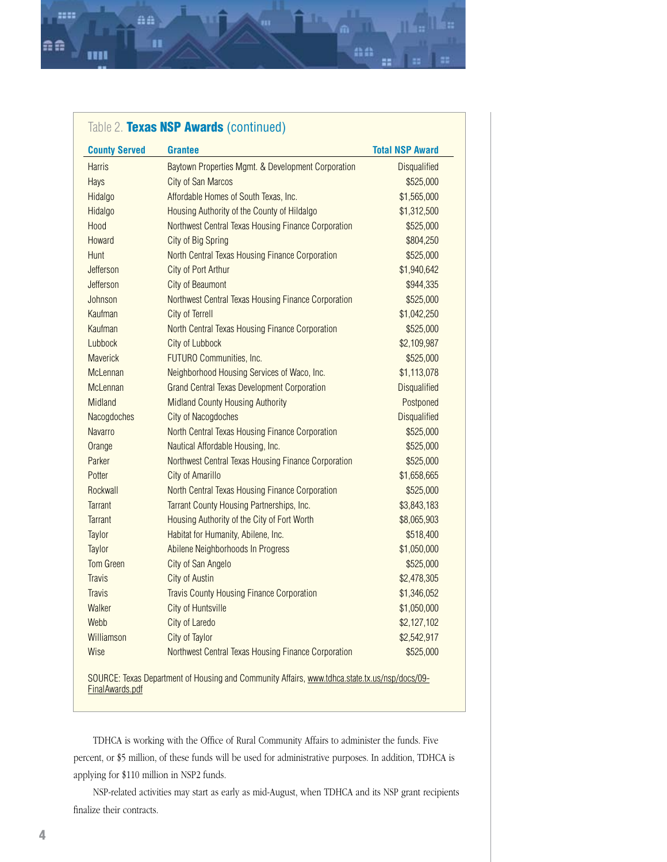aa

n

::::

| <b>County Served</b> | <b>Grantee</b>                                      | <b>Total NSP Award</b> |
|----------------------|-----------------------------------------------------|------------------------|
| <b>Harris</b>        | Baytown Properties Mgmt. & Development Corporation  | <b>Disqualified</b>    |
| Hays                 | <b>City of San Marcos</b>                           | \$525,000              |
| Hidalgo              | Affordable Homes of South Texas, Inc.               | \$1,565,000            |
| Hidalgo              | Housing Authority of the County of Hildalgo         | \$1,312,500            |
| Hood                 | Northwest Central Texas Housing Finance Corporation | \$525,000              |
| Howard               | City of Big Spring                                  | \$804,250              |
| Hunt                 | North Central Texas Housing Finance Corporation     | \$525,000              |
| Jefferson            | City of Port Arthur                                 | \$1,940,642            |
| Jefferson            | <b>City of Beaumont</b>                             | \$944,335              |
| Johnson              | Northwest Central Texas Housing Finance Corporation | \$525,000              |
| Kaufman              | City of Terrell                                     | \$1,042,250            |
| Kaufman              | North Central Texas Housing Finance Corporation     | \$525,000              |
| Lubbock              | City of Lubbock                                     | \$2,109,987            |
| <b>Maverick</b>      | FUTURO Communities, Inc.                            | \$525,000              |
| McLennan             | Neighborhood Housing Services of Waco, Inc.         | \$1,113,078            |
| <b>McLennan</b>      | <b>Grand Central Texas Development Corporation</b>  | <b>Disqualified</b>    |
| Midland              | <b>Midland County Housing Authority</b>             | Postponed              |
| Nacogdoches          | <b>City of Nacogdoches</b>                          | <b>Disqualified</b>    |
| <b>Navarro</b>       | North Central Texas Housing Finance Corporation     | \$525,000              |
| Orange               | Nautical Affordable Housing, Inc.                   | \$525,000              |
| Parker               | Northwest Central Texas Housing Finance Corporation | \$525,000              |
| Potter               | <b>City of Amarillo</b>                             | \$1,658,665            |
| Rockwall             | North Central Texas Housing Finance Corporation     | \$525,000              |
| <b>Tarrant</b>       | Tarrant County Housing Partnerships, Inc.           | \$3,843,183            |
| <b>Tarrant</b>       | Housing Authority of the City of Fort Worth         | \$8,065,903            |
| Taylor               | Habitat for Humanity, Abilene, Inc.                 | \$518,400              |
| Taylor               | Abilene Neighborhoods In Progress                   | \$1,050,000            |
| <b>Tom Green</b>     | City of San Angelo                                  | \$525,000              |
| <b>Travis</b>        | <b>City of Austin</b>                               | \$2,478,305            |
| <b>Travis</b>        | <b>Travis County Housing Finance Corporation</b>    | \$1,346,052            |
| Walker               | <b>City of Huntsville</b>                           | \$1,050,000            |
| Webb                 | City of Laredo                                      | \$2,127,102            |
| Williamson           | City of Taylor                                      | \$2,542,917            |
| Wise                 | Northwest Central Texas Housing Finance Corporation | \$525,000              |

aa

TDHCA is working with the Office of Rural Community Affairs to administer the funds. Five percent, or \$5 million, of these funds will be used for administrative purposes. In addition, TDHCA is applying for \$110 million in NSP2 funds.

NSP-related activities may start as early as mid-August, when TDHCA and its NSP grant recipients finalize their contracts.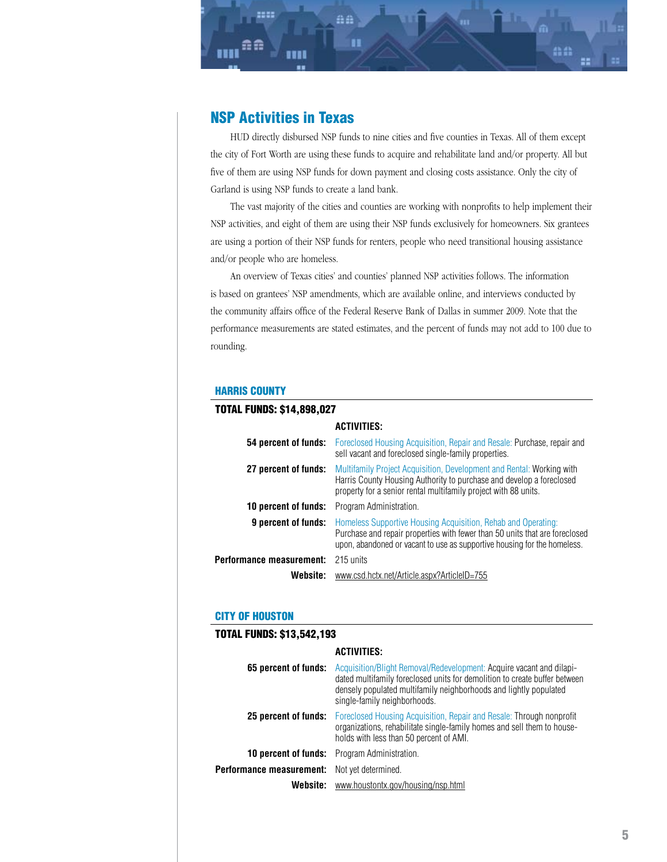# <span id="page-4-0"></span>NSP Activities in Texas

ee

AA

HUD directly disbursed NSP funds to nine cities and five counties in Texas. All of them except the city of Fort Worth are using these funds to acquire and rehabilitate land and/or property. All but five of them are using NSP funds for down payment and closing costs assistance. Only the city of Garland is using NSP funds to create a land bank.

mm

The vast majority of the cities and counties are working with nonprofits to help implement their NSP activities, and eight of them are using their NSP funds exclusively for homeowners. Six grantees are using a portion of their NSP funds for renters, people who need transitional housing assistance and/or people who are homeless.

An overview of Texas cities' and counties' planned NSP activities follows. The information is based on grantees' NSP amendments, which are available online, and interviews conducted by the community affairs office of the Federal Reserve Bank of Dallas in summer 2009. Note that the performance measurements are stated estimates, and the percent of funds may not add to 100 due to rounding.

#### HARRIS COUNTY

| <b>TOTAL FUNDS: \$14,898,027</b> |                                                                                                                                                                                                                          |
|----------------------------------|--------------------------------------------------------------------------------------------------------------------------------------------------------------------------------------------------------------------------|
|                                  | <b>ACTIVITIES:</b>                                                                                                                                                                                                       |
|                                  | <b>54 percent of funds:</b> Foreclosed Housing Acquisition, Repair and Resale: Purchase, repair and<br>sell vacant and foreclosed single-family properties.                                                              |
| 27 percent of funds:             | Multifamily Project Acquisition, Development and Rental: Working with<br>Harris County Housing Authority to purchase and develop a foreclosed<br>property for a senior rental multifamily project with 88 units.         |
| <b>10 percent of funds:</b>      | Program Administration.                                                                                                                                                                                                  |
| 9 percent of funds:              | Homeless Supportive Housing Acquisition, Rehab and Operating:<br>Purchase and repair properties with fewer than 50 units that are foreclosed<br>upon, abandoned or vacant to use as supportive housing for the homeless. |
| Performance measurement:         | 215 units                                                                                                                                                                                                                |
| Website:                         | www.csd.hctx.net/Article.aspx?ArticleID=755                                                                                                                                                                              |

#### CITY OF HOUSTON

TAL FUNDO, \$10,540,199

| TUTAL FUNUS: 313,344,195 |                                                                                                                                                                                                                                                         |
|--------------------------|---------------------------------------------------------------------------------------------------------------------------------------------------------------------------------------------------------------------------------------------------------|
|                          | <b>ACTIVITIES:</b>                                                                                                                                                                                                                                      |
| 65 percent of funds:     | Acquisition/Blight Removal/Redevelopment: Acquire vacant and dilapi-<br>dated multifamily foreclosed units for demolition to create buffer between<br>densely populated multifamily neighborhoods and lightly populated<br>single-family neighborhoods. |
| 25 percent of funds:     | Foreclosed Housing Acquisition, Repair and Resale: Through nonprofit<br>organizations, rehabilitate single-family homes and sell them to house-<br>holds with less than 50 percent of AMI.                                                              |
| 10 percent of funds:     | Program Administration.                                                                                                                                                                                                                                 |
| Performance measurement: | Not yet determined.                                                                                                                                                                                                                                     |
| Website:                 | www.houstontx.gov/housing/nsp.html                                                                                                                                                                                                                      |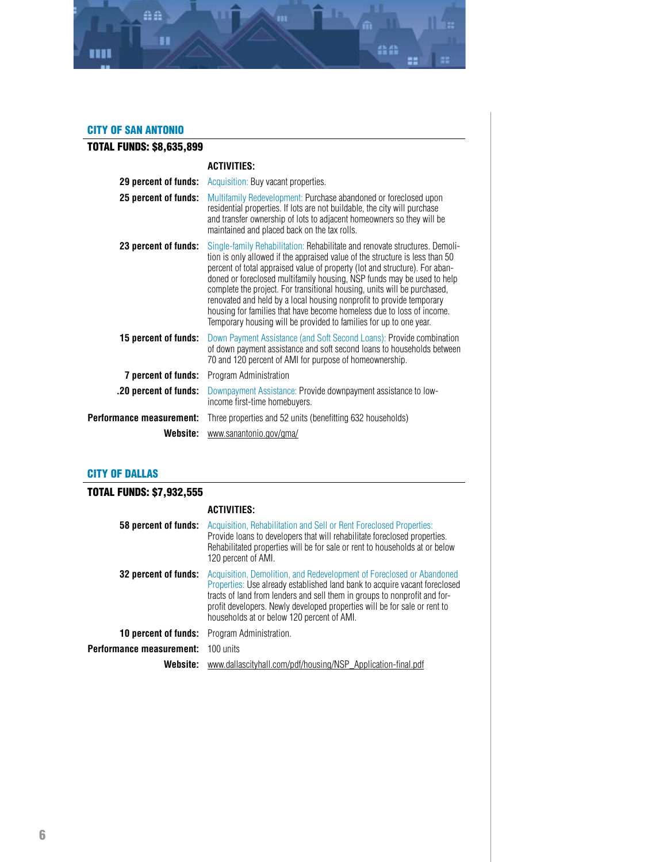<span id="page-5-0"></span>

#### CITY OF SAN ANTONIO

| TOTAL FUNDS: \$8,635,899 |                                                                                                                                                                                                                                                                                                                                                                                                                                                                                                                                                                                                                         |
|--------------------------|-------------------------------------------------------------------------------------------------------------------------------------------------------------------------------------------------------------------------------------------------------------------------------------------------------------------------------------------------------------------------------------------------------------------------------------------------------------------------------------------------------------------------------------------------------------------------------------------------------------------------|
|                          | <b>ACTIVITIES:</b>                                                                                                                                                                                                                                                                                                                                                                                                                                                                                                                                                                                                      |
| 29 percent of funds:     | Acquisition: Buy vacant properties.                                                                                                                                                                                                                                                                                                                                                                                                                                                                                                                                                                                     |
| 25 percent of funds:     | Multifamily Redevelopment: Purchase abandoned or foreclosed upon<br>residential properties. If lots are not buildable, the city will purchase<br>and transfer ownership of lots to adjacent homeowners so they will be<br>maintained and placed back on the tax rolls.                                                                                                                                                                                                                                                                                                                                                  |
| 23 percent of funds:     | Single-family Rehabilitation: Rehabilitate and renovate structures. Demoli-<br>tion is only allowed if the appraised value of the structure is less than 50<br>percent of total appraised value of property (lot and structure). For aban-<br>doned or foreclosed multifamily housing, NSP funds may be used to help<br>complete the project. For transitional housing, units will be purchased,<br>renovated and held by a local housing nonprofit to provide temporary<br>housing for families that have become homeless due to loss of income.<br>Temporary housing will be provided to families for up to one year. |
| 15 percent of funds:     | Down Payment Assistance (and Soft Second Loans): Provide combination<br>of down payment assistance and soft second loans to households between<br>70 and 120 percent of AMI for purpose of homeownership.                                                                                                                                                                                                                                                                                                                                                                                                               |
| 7 percent of funds:      | Program Administration                                                                                                                                                                                                                                                                                                                                                                                                                                                                                                                                                                                                  |
| .20 percent of funds:    | Downpayment Assistance: Provide downpayment assistance to low-<br>income first-time homebuyers.                                                                                                                                                                                                                                                                                                                                                                                                                                                                                                                         |
| Performance measurement: | Three properties and 52 units (benefitting 632 households)                                                                                                                                                                                                                                                                                                                                                                                                                                                                                                                                                              |
| Website:                 | www.sanantonio.gov/gma/                                                                                                                                                                                                                                                                                                                                                                                                                                                                                                                                                                                                 |

#### CITY OF DALLAS

## TOTAL FUNDS: \$7,932,555 **ACTIVITIES: 58 percent of funds:** Acquisition, Rehabilitation and Sell or Rent Foreclosed Properties: Provide loans to developers that will rehabilitate foreclosed properties. Rehabilitated properties will be for sale or rent to households at or below 120 percent of AMI. **32 percent of funds:** Acquisition, Demolition, and Redevelopment of Foreclosed or Abandoned Properties: Use already established land bank to acquire vacant foreclosed tracts of land from lenders and sell them in groups to nonprofit and forprofit developers. Newly developed properties will be for sale or rent to households at or below 120 percent of AMI. **10 percent of funds:** Program Administration. **Performance measurement:** 100 units **Website:** [www.dallascityhall.com/pdf/housing/NSP\\_Application-final.pdf](www.dallascityhall.com/pdf/housing/NSP_Application-final.pdf)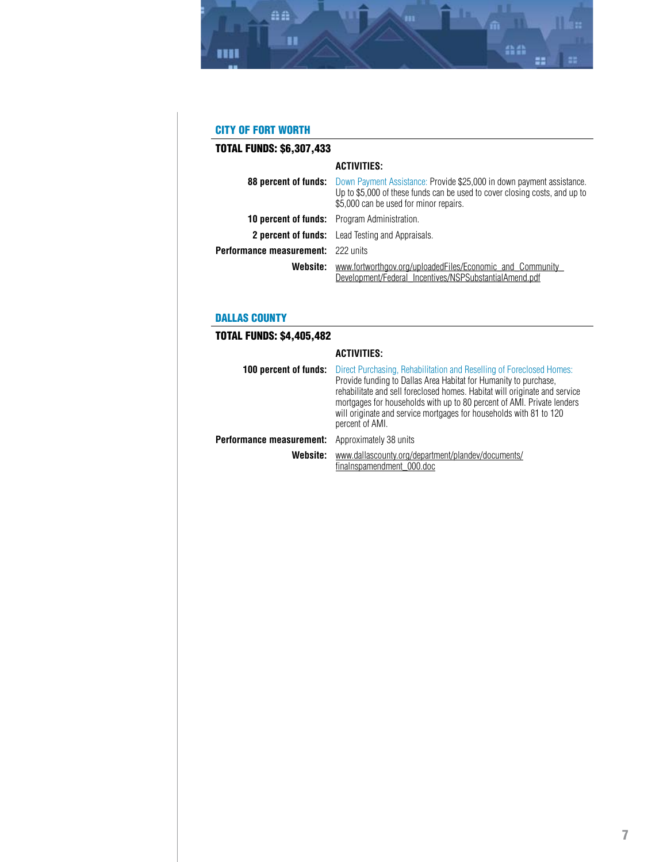<span id="page-6-0"></span>

## CITY OF FORT WORTH

| <b>TOTAL FUNDS: \$6,307,433</b>           |                                                                                                                                                                                                                           |
|-------------------------------------------|---------------------------------------------------------------------------------------------------------------------------------------------------------------------------------------------------------------------------|
|                                           | <b>ACTIVITIES:</b>                                                                                                                                                                                                        |
|                                           | <b>88 percent of funds:</b> Down Payment Assistance: Provide \$25,000 in down payment assistance.<br>Up to \$5,000 of these funds can be used to cover closing costs, and up to<br>\$5,000 can be used for minor repairs. |
|                                           | <b>10 percent of funds:</b> Program Administration.                                                                                                                                                                       |
|                                           | <b>2 percent of funds:</b> Lead Testing and Appraisals.                                                                                                                                                                   |
| <b>Performance measurement:</b> 222 units |                                                                                                                                                                                                                           |
| Website:                                  | www.fortworthgov.org/uploadedFiles/Economic and Community<br>Development/Federal_Incentives/NSPSubstantialAmend.pdf                                                                                                       |

## DALLAS COUNTY

## TOTAL FUNDS: \$4,405,482

|                          | <b>ACTIVITIES:</b>                                                                                                                                                                                                                                                                                                                                                                        |
|--------------------------|-------------------------------------------------------------------------------------------------------------------------------------------------------------------------------------------------------------------------------------------------------------------------------------------------------------------------------------------------------------------------------------------|
| 100 percent of funds:    | Direct Purchasing, Rehabilitation and Reselling of Foreclosed Homes:<br>Provide funding to Dallas Area Habitat for Humanity to purchase,<br>rehabilitate and sell foreclosed homes. Habitat will originate and service<br>mortgages for households with up to 80 percent of AMI. Private lenders<br>will originate and service mortgages for households with 81 to 120<br>percent of AMI. |
| Performance measurement: | Approximately 38 units                                                                                                                                                                                                                                                                                                                                                                    |
| Website:                 | www.dallascounty.org/department/plandev/documents/<br>finalnspamendment 000.doc                                                                                                                                                                                                                                                                                                           |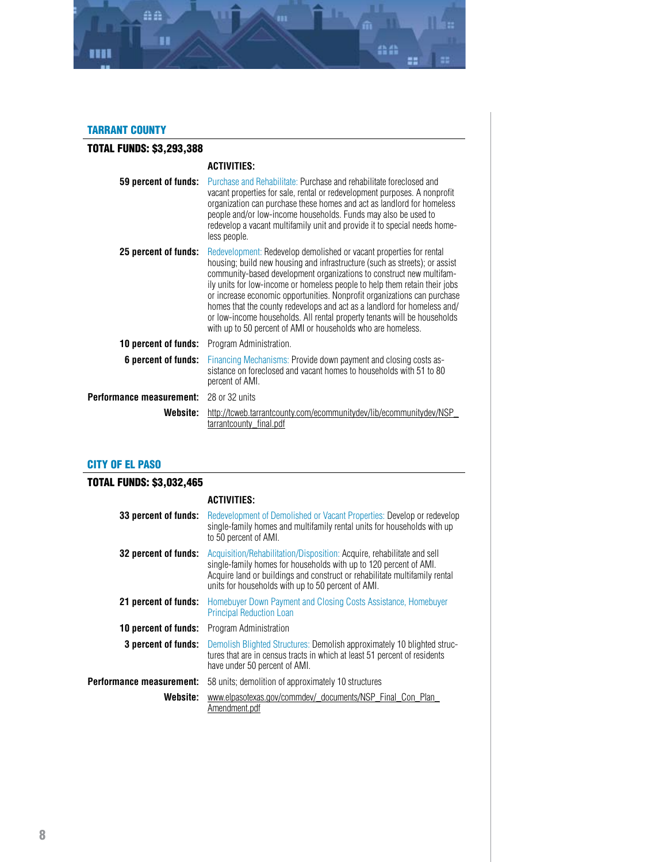<span id="page-7-0"></span>

## TARRANT COUNTY

| <b>TOTAL FUNDS: \$3,293,388</b> |                                                                                                                                                                                                                                                                                                                                                                                                                                                                                                                                                                                                             |
|---------------------------------|-------------------------------------------------------------------------------------------------------------------------------------------------------------------------------------------------------------------------------------------------------------------------------------------------------------------------------------------------------------------------------------------------------------------------------------------------------------------------------------------------------------------------------------------------------------------------------------------------------------|
|                                 | <b>ACTIVITIES:</b>                                                                                                                                                                                                                                                                                                                                                                                                                                                                                                                                                                                          |
| 59 percent of funds:            | Purchase and Rehabilitate: Purchase and rehabilitate foreclosed and<br>vacant properties for sale, rental or redevelopment purposes. A nonprofit<br>organization can purchase these homes and act as landlord for homeless<br>people and/or low-income households. Funds may also be used to<br>redevelop a vacant multifamily unit and provide it to special needs home-<br>less people.                                                                                                                                                                                                                   |
| 25 percent of funds:            | Redevelopment: Redevelop demolished or vacant properties for rental<br>housing; build new housing and infrastructure (such as streets); or assist<br>community-based development organizations to construct new multifam-<br>ily units for low-income or homeless people to help them retain their jobs<br>or increase economic opportunities. Nonprofit organizations can purchase<br>homes that the county redevelops and act as a landlord for homeless and/<br>or low-income households. All rental property tenants will be households<br>with up to 50 percent of AMI or households who are homeless. |
| 10 percent of funds:            | Program Administration.                                                                                                                                                                                                                                                                                                                                                                                                                                                                                                                                                                                     |
| 6 percent of funds:             | Financing Mechanisms: Provide down payment and closing costs as-<br>sistance on foreclosed and vacant homes to households with 51 to 80<br>percent of AMI.                                                                                                                                                                                                                                                                                                                                                                                                                                                  |
| Performance measurement:        | 28 or 32 units                                                                                                                                                                                                                                                                                                                                                                                                                                                                                                                                                                                              |
| Website:                        | http://tcweb.tarrantcounty.com/ecommunitydev/lib/ecommunitydev/NSP_<br>tarrantcounty_final.pdf                                                                                                                                                                                                                                                                                                                                                                                                                                                                                                              |

## CITY OF EL PASO

## TOTAL FUNDS: \$3,032,465

## **ACTIVITIES:**

| 33 percent of funds:        | Redevelopment of Demolished or Vacant Properties: Develop or redevelop<br>single-family homes and multifamily rental units for households with up<br>to 50 percent of AMI.                                                                                                      |
|-----------------------------|---------------------------------------------------------------------------------------------------------------------------------------------------------------------------------------------------------------------------------------------------------------------------------|
| 32 percent of funds:        | Acquisition/Rehabilitation/Disposition: Acquire, rehabilitate and sell<br>single-family homes for households with up to 120 percent of AMI.<br>Acquire land or buildings and construct or rehabilitate multifamily rental<br>units for households with up to 50 percent of AMI. |
| 21 percent of funds:        | Homebuyer Down Payment and Closing Costs Assistance, Homebuyer<br><b>Principal Reduction Loan</b>                                                                                                                                                                               |
| <b>10 percent of funds:</b> | Program Administration                                                                                                                                                                                                                                                          |
| 3 percent of funds:         | Demolish Blighted Structures: Demolish approximately 10 blighted struc-<br>tures that are in census tracts in which at least 51 percent of residents<br>have under 50 percent of AMI.                                                                                           |
| Performance measurement:    | 58 units; demolition of approximately 10 structures                                                                                                                                                                                                                             |
| Website:                    | www.elpasotexas.gov/commdev/_documents/NSP_Final_Con_Plan_<br>Amendment.pdf                                                                                                                                                                                                     |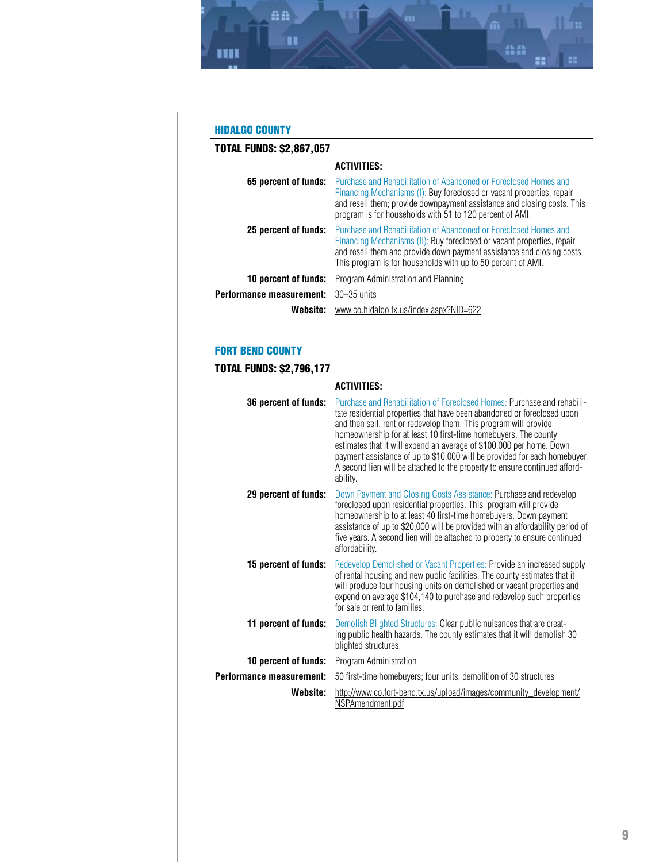<span id="page-8-0"></span>

## HIDALGO COUNTY

| <b>TOTAL FUNDS: \$2,867,057</b> |                                                                                                                                                                                                                                                                                      |
|---------------------------------|--------------------------------------------------------------------------------------------------------------------------------------------------------------------------------------------------------------------------------------------------------------------------------------|
|                                 | <b>ACTIVITIES:</b>                                                                                                                                                                                                                                                                   |
| 65 percent of funds:            | Purchase and Rehabilitation of Abandoned or Foreclosed Homes and<br>Financing Mechanisms (I): Buy foreclosed or vacant properties, repair<br>and resell them; provide downpayment assistance and closing costs. This<br>program is for households with 51 to 120 percent of AMI.     |
| 25 percent of funds:            | Purchase and Rehabilitation of Abandoned or Foreclosed Homes and<br>Financing Mechanisms (II): Buy foreclosed or vacant properties, repair<br>and resell them and provide down payment assistance and closing costs.<br>This program is for households with up to 50 percent of AMI. |
| <b>10 percent of funds:</b>     | Program Administration and Planning                                                                                                                                                                                                                                                  |
| Performance measurement:        | $30 - 35$ units                                                                                                                                                                                                                                                                      |
| Website:                        | www.co.hidalgo.tx.us/index.aspx?NID=622                                                                                                                                                                                                                                              |

## FORT BEND COUNTY

| <b>TOTAL FUNDS: \$2,796,177</b> |                                                                                                                                                                                                                                                                                                                                                                                                                                                                                                                                          |
|---------------------------------|------------------------------------------------------------------------------------------------------------------------------------------------------------------------------------------------------------------------------------------------------------------------------------------------------------------------------------------------------------------------------------------------------------------------------------------------------------------------------------------------------------------------------------------|
|                                 | <b>ACTIVITIES:</b>                                                                                                                                                                                                                                                                                                                                                                                                                                                                                                                       |
| 36 percent of funds:            | Purchase and Rehabilitation of Foreclosed Homes: Purchase and rehabili-<br>tate residential properties that have been abandoned or foreclosed upon<br>and then sell, rent or redevelop them. This program will provide<br>homeownership for at least 10 first-time homebuyers. The county<br>estimates that it will expend an average of \$100,000 per home. Down<br>payment assistance of up to \$10,000 will be provided for each homebuyer.<br>A second lien will be attached to the property to ensure continued afford-<br>ability. |
| 29 percent of funds:            | Down Payment and Closing Costs Assistance: Purchase and redevelop<br>foreclosed upon residential properties. This program will provide<br>homeownership to at least 40 first-time homebuyers. Down payment<br>assistance of up to \$20,000 will be provided with an affordability period of<br>five years. A second lien will be attached to property to ensure continued<br>affordability.                                                                                                                                              |
| 15 percent of funds:            | Redevelop Demolished or Vacant Properties: Provide an increased supply<br>of rental housing and new public facilities. The county estimates that it<br>will produce four housing units on demolished or vacant properties and<br>expend on average \$104,140 to purchase and redevelop such properties<br>for sale or rent to families.                                                                                                                                                                                                  |
| 11 percent of funds:            | Demolish Blighted Structures: Clear public nuisances that are creat-<br>ing public health hazards. The county estimates that it will demolish 30<br>blighted structures.                                                                                                                                                                                                                                                                                                                                                                 |
| 10 percent of funds:            | Program Administration                                                                                                                                                                                                                                                                                                                                                                                                                                                                                                                   |
| Performance measurement:        | 50 first-time homebuyers; four units; demolition of 30 structures                                                                                                                                                                                                                                                                                                                                                                                                                                                                        |
| Website:                        | http://www.co.fort-bend.tx.us/upload/images/community_development/<br>NSPAmendment.pdf                                                                                                                                                                                                                                                                                                                                                                                                                                                   |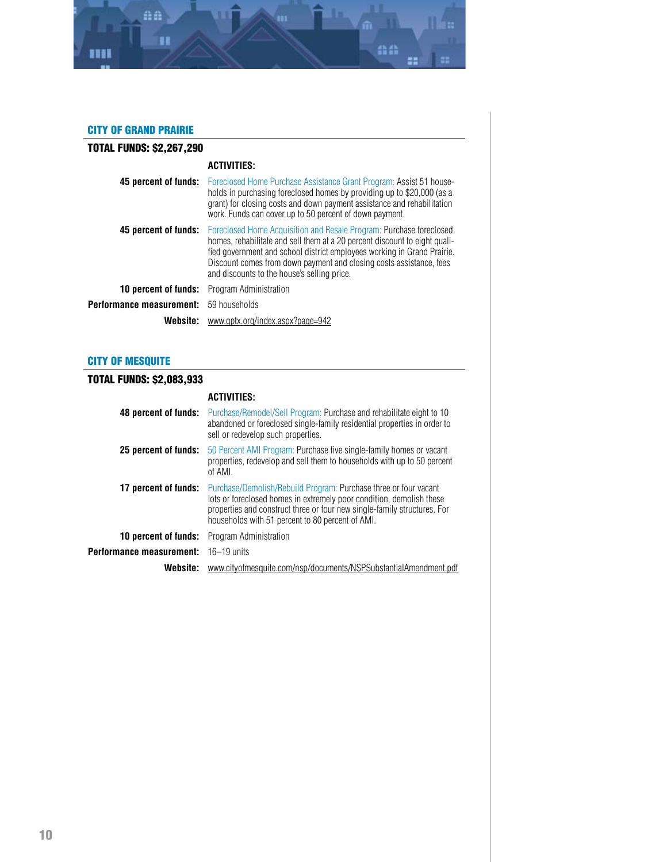<span id="page-9-0"></span>

## CITY OF GRAND PRAIRIE

| <b>TOTAL FUNDS: \$2,267,290</b> |                                                                                                                                                                                                                                                                                                                                                    |
|---------------------------------|----------------------------------------------------------------------------------------------------------------------------------------------------------------------------------------------------------------------------------------------------------------------------------------------------------------------------------------------------|
|                                 | <b>ACTIVITIES:</b>                                                                                                                                                                                                                                                                                                                                 |
| 45 percent of funds:            | Foreclosed Home Purchase Assistance Grant Program: Assist 51 house-<br>holds in purchasing foreclosed homes by providing up to \$20,000 (as a<br>grant) for closing costs and down payment assistance and rehabilitation<br>work. Funds can cover up to 50 percent of down payment.                                                                |
| 45 percent of funds:            | Foreclosed Home Acquisition and Resale Program: Purchase foreclosed<br>homes, rehabilitate and sell them at a 20 percent discount to eight quali-<br>fied government and school district employees working in Grand Prairie.<br>Discount comes from down payment and closing costs assistance, fees<br>and discounts to the house's selling price. |
| <b>10 percent of funds:</b>     | Program Administration                                                                                                                                                                                                                                                                                                                             |
| Performance measurement:        | 59 households                                                                                                                                                                                                                                                                                                                                      |
| Website:                        | www.gptx.org/index.aspx?page=942                                                                                                                                                                                                                                                                                                                   |

## CITY OF MESQUITE

# TOTAL FUNDS: \$2,083,933

|                             | <b>ACTIVITIES:</b>                                                                                                                                                                                                                                                       |
|-----------------------------|--------------------------------------------------------------------------------------------------------------------------------------------------------------------------------------------------------------------------------------------------------------------------|
| 48 percent of funds:        | Purchase/Remodel/Sell Program: Purchase and rehabilitate eight to 10<br>abandoned or foreclosed single-family residential properties in order to<br>sell or redevelop such properties.                                                                                   |
| 25 percent of funds:        | 50 Percent AMI Program: Purchase five single-family homes or vacant<br>properties, redevelop and sell them to households with up to 50 percent<br>of AMI.                                                                                                                |
| 17 percent of funds:        | Purchase/Demolish/Rebuild Program: Purchase three or four vacant<br>lots or foreclosed homes in extremely poor condition, demolish these<br>properties and construct three or four new single-family structures. For<br>households with 51 percent to 80 percent of AMI. |
| <b>10 percent of funds:</b> | Program Administration                                                                                                                                                                                                                                                   |
| Performance measurement:    | $16 - 19$ units                                                                                                                                                                                                                                                          |
| Website:                    | www.cityofmesquite.com/nsp/documents/NSPSubstantialAmendment.pdf                                                                                                                                                                                                         |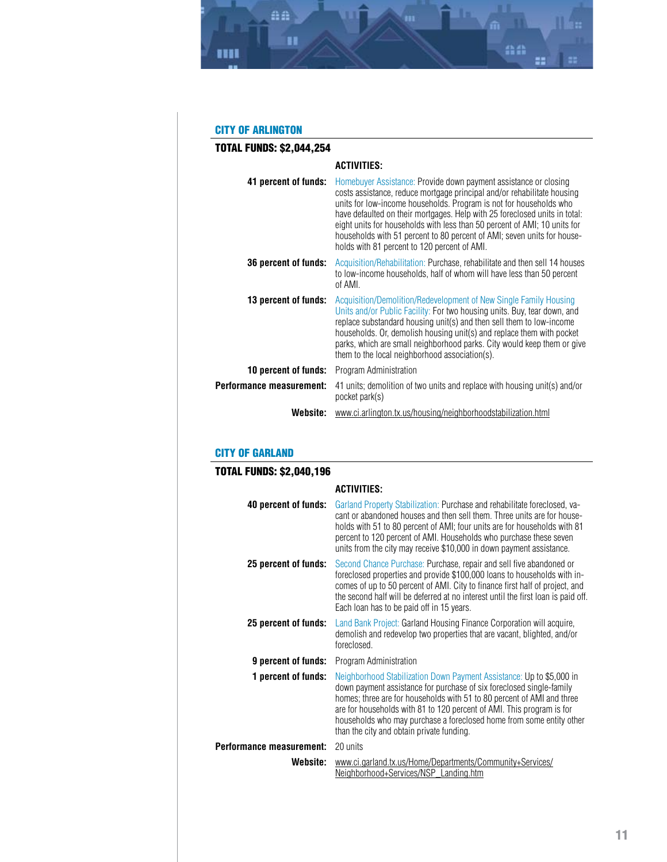<span id="page-10-0"></span>

## CITY OF ARLINGTON

| <b>TOTAL FUNDS: \$2,044,254</b> |                                                                                                                                                                                                                                                                                                                                                                                                                                                                                                         |
|---------------------------------|---------------------------------------------------------------------------------------------------------------------------------------------------------------------------------------------------------------------------------------------------------------------------------------------------------------------------------------------------------------------------------------------------------------------------------------------------------------------------------------------------------|
|                                 | <b>ACTIVITIES:</b>                                                                                                                                                                                                                                                                                                                                                                                                                                                                                      |
| 41 percent of funds:            | Homebuyer Assistance: Provide down payment assistance or closing<br>costs assistance, reduce mortgage principal and/or rehabilitate housing<br>units for low-income households. Program is not for households who<br>have defaulted on their mortgages. Help with 25 foreclosed units in total:<br>eight units for households with less than 50 percent of AMI; 10 units for<br>households with 51 percent to 80 percent of AMI; seven units for house-<br>holds with 81 percent to 120 percent of AMI. |
| 36 percent of funds:            | Acquisition/Rehabilitation: Purchase, rehabilitate and then sell 14 houses<br>to low-income households, half of whom will have less than 50 percent<br>of AMI.                                                                                                                                                                                                                                                                                                                                          |
| 13 percent of funds:            | Acquisition/Demolition/Redevelopment of New Single Family Housing<br>Units and/or Public Facility: For two housing units. Buy, tear down, and<br>replace substandard housing unit(s) and then sell them to low-income<br>households. Or, demolish housing unit(s) and replace them with pocket<br>parks, which are small neighborhood parks. City would keep them or give<br>them to the local neighborhood association(s).                                                                             |
| 10 percent of funds:            | Program Administration                                                                                                                                                                                                                                                                                                                                                                                                                                                                                  |
| Performance measurement:        | 41 units; demolition of two units and replace with housing unit(s) and/or<br>pocket park(s)                                                                                                                                                                                                                                                                                                                                                                                                             |
| Website:                        | www.ci.arlington.tx.us/housing/neighborhoodstabilization.html                                                                                                                                                                                                                                                                                                                                                                                                                                           |

#### CITY OF GARLAND

| <b>TOTAL FUNDS: \$2,040,196</b> |                                                                                                                                                                                                                                                                                                                                                                                                                      |
|---------------------------------|----------------------------------------------------------------------------------------------------------------------------------------------------------------------------------------------------------------------------------------------------------------------------------------------------------------------------------------------------------------------------------------------------------------------|
|                                 | <b>ACTIVITIES:</b>                                                                                                                                                                                                                                                                                                                                                                                                   |
| 40 percent of funds:            | Garland Property Stabilization: Purchase and rehabilitate foreclosed, va-<br>cant or abandoned houses and then sell them. Three units are for house-<br>holds with 51 to 80 percent of AMI; four units are for households with 81<br>percent to 120 percent of AMI. Households who purchase these seven<br>units from the city may receive \$10,000 in down payment assistance.                                      |
| 25 percent of funds:            | Second Chance Purchase: Purchase, repair and sell five abandoned or<br>foreclosed properties and provide \$100,000 loans to households with in-<br>comes of up to 50 percent of AMI. City to finance first half of project, and<br>the second half will be deferred at no interest until the first loan is paid off.<br>Each loan has to be paid off in 15 years.                                                    |
| 25 percent of funds:            | Land Bank Project: Garland Housing Finance Corporation will acquire,<br>demolish and redevelop two properties that are vacant, blighted, and/or<br>foreclosed.                                                                                                                                                                                                                                                       |
| 9 percent of funds:             | Program Administration                                                                                                                                                                                                                                                                                                                                                                                               |
| 1 percent of funds:             | Neighborhood Stabilization Down Payment Assistance: Up to \$5,000 in<br>down payment assistance for purchase of six foreclosed single-family<br>homes; three are for households with 51 to 80 percent of AMI and three<br>are for households with 81 to 120 percent of AMI. This program is for<br>households who may purchase a foreclosed home from some entity other<br>than the city and obtain private funding. |
| Performance measurement:        | 20 units                                                                                                                                                                                                                                                                                                                                                                                                             |
| Website:                        | www.ci.garland.tx.us/Home/Departments/Community+Services/<br>Neighborhood+Services/NSP_Landing.htm                                                                                                                                                                                                                                                                                                                   |
|                                 |                                                                                                                                                                                                                                                                                                                                                                                                                      |